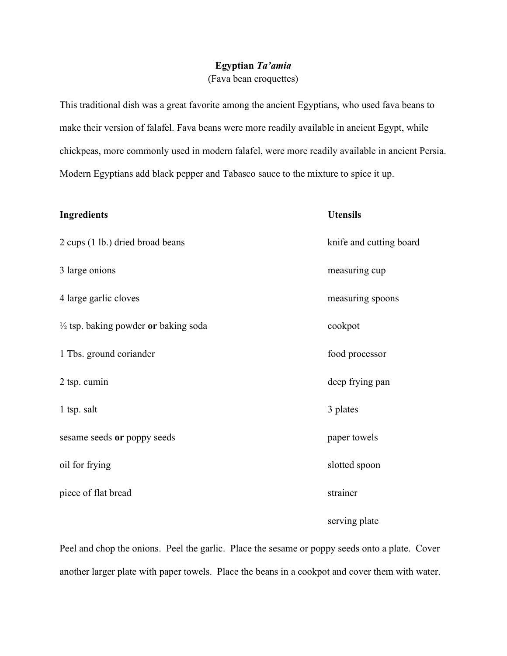## Egyptian Ta'amia (Fava bean croquettes)

This traditional dish was a great favorite among the ancient Egyptians, who used fava beans to make their version of falafel. Fava beans were more readily available in ancient Egypt, while chickpeas, more commonly used in modern falafel, were more readily available in ancient Persia. Modern Egyptians add black pepper and Tabasco sauce to the mixture to spice it up.

| <b>Ingredients</b>                              | <b>Utensils</b>         |
|-------------------------------------------------|-------------------------|
| 2 cups (1 lb.) dried broad beans                | knife and cutting board |
| 3 large onions                                  | measuring cup           |
| 4 large garlic cloves                           | measuring spoons        |
| $\frac{1}{2}$ tsp. baking powder or baking soda | cookpot                 |
| 1 Tbs. ground coriander                         | food processor          |
| 2 tsp. cumin                                    | deep frying pan         |
| 1 tsp. salt                                     | 3 plates                |
| sesame seeds or poppy seeds                     | paper towels            |
| oil for frying                                  | slotted spoon           |
| piece of flat bread                             | strainer                |

serving plate

Peel and chop the onions. Peel the garlic. Place the sesame or poppy seeds onto a plate. Cover another larger plate with paper towels. Place the beans in a cookpot and cover them with water.